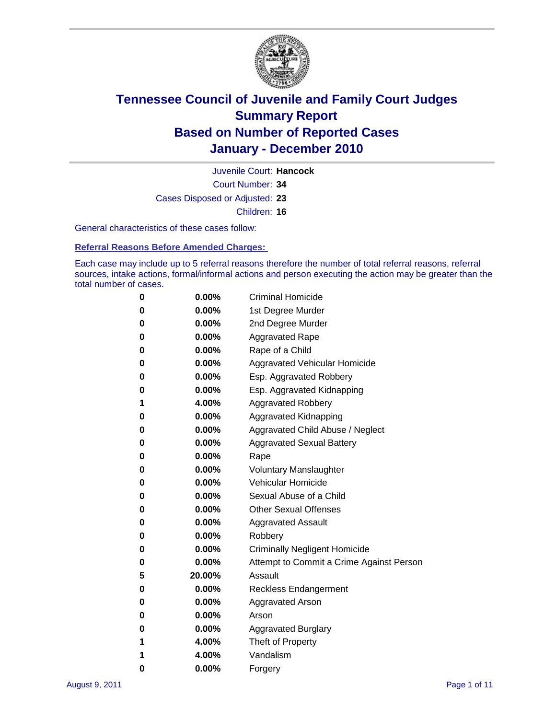

Court Number: **34** Juvenile Court: **Hancock** Cases Disposed or Adjusted: **23** Children: **16**

General characteristics of these cases follow:

**Referral Reasons Before Amended Charges:** 

Each case may include up to 5 referral reasons therefore the number of total referral reasons, referral sources, intake actions, formal/informal actions and person executing the action may be greater than the total number of cases.

| 0 | $0.00\%$ | <b>Criminal Homicide</b>                 |
|---|----------|------------------------------------------|
| 0 | $0.00\%$ | 1st Degree Murder                        |
| 0 | $0.00\%$ | 2nd Degree Murder                        |
| 0 | $0.00\%$ | <b>Aggravated Rape</b>                   |
| 0 | $0.00\%$ | Rape of a Child                          |
| 0 | $0.00\%$ | Aggravated Vehicular Homicide            |
| 0 | $0.00\%$ | Esp. Aggravated Robbery                  |
| 0 | $0.00\%$ | Esp. Aggravated Kidnapping               |
| 1 | 4.00%    | <b>Aggravated Robbery</b>                |
| 0 | $0.00\%$ | Aggravated Kidnapping                    |
| 0 | 0.00%    | Aggravated Child Abuse / Neglect         |
| 0 | 0.00%    | <b>Aggravated Sexual Battery</b>         |
| 0 | $0.00\%$ | Rape                                     |
| 0 | $0.00\%$ | <b>Voluntary Manslaughter</b>            |
| 0 | $0.00\%$ | Vehicular Homicide                       |
| 0 | $0.00\%$ | Sexual Abuse of a Child                  |
| 0 | $0.00\%$ | <b>Other Sexual Offenses</b>             |
| 0 | $0.00\%$ | <b>Aggravated Assault</b>                |
| 0 | 0.00%    | Robbery                                  |
| 0 | $0.00\%$ | <b>Criminally Negligent Homicide</b>     |
| 0 | $0.00\%$ | Attempt to Commit a Crime Against Person |
| 5 | 20.00%   | Assault                                  |
| 0 | $0.00\%$ | <b>Reckless Endangerment</b>             |
| 0 | $0.00\%$ | <b>Aggravated Arson</b>                  |
| 0 | $0.00\%$ | Arson                                    |
| 0 | $0.00\%$ | <b>Aggravated Burglary</b>               |
| 1 | 4.00%    | Theft of Property                        |
| 1 | 4.00%    | Vandalism                                |
| 0 | 0.00%    | Forgery                                  |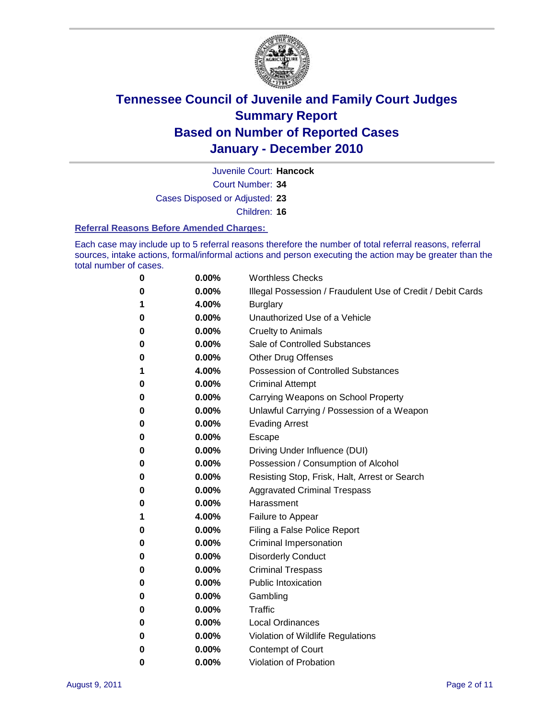

Juvenile Court: **Hancock**

Court Number: **34**

Cases Disposed or Adjusted: **23**

Children: **16**

#### **Referral Reasons Before Amended Charges:**

Each case may include up to 5 referral reasons therefore the number of total referral reasons, referral sources, intake actions, formal/informal actions and person executing the action may be greater than the total number of cases.

| 0 | 0.00%    | <b>Worthless Checks</b>                                     |  |  |  |
|---|----------|-------------------------------------------------------------|--|--|--|
| 0 | 0.00%    | Illegal Possession / Fraudulent Use of Credit / Debit Cards |  |  |  |
| 1 | 4.00%    | <b>Burglary</b>                                             |  |  |  |
| 0 | $0.00\%$ | Unauthorized Use of a Vehicle                               |  |  |  |
| 0 | $0.00\%$ | <b>Cruelty to Animals</b>                                   |  |  |  |
| 0 | $0.00\%$ | Sale of Controlled Substances                               |  |  |  |
| 0 | $0.00\%$ | <b>Other Drug Offenses</b>                                  |  |  |  |
| 1 | 4.00%    | <b>Possession of Controlled Substances</b>                  |  |  |  |
| 0 | 0.00%    | <b>Criminal Attempt</b>                                     |  |  |  |
| 0 | 0.00%    | Carrying Weapons on School Property                         |  |  |  |
| 0 | 0.00%    | Unlawful Carrying / Possession of a Weapon                  |  |  |  |
| 0 | $0.00\%$ | <b>Evading Arrest</b>                                       |  |  |  |
| 0 | $0.00\%$ | Escape                                                      |  |  |  |
| 0 | $0.00\%$ | Driving Under Influence (DUI)                               |  |  |  |
| 0 | $0.00\%$ | Possession / Consumption of Alcohol                         |  |  |  |
| 0 | $0.00\%$ | Resisting Stop, Frisk, Halt, Arrest or Search               |  |  |  |
| 0 | $0.00\%$ | <b>Aggravated Criminal Trespass</b>                         |  |  |  |
| 0 | $0.00\%$ | Harassment                                                  |  |  |  |
| 1 | 4.00%    | Failure to Appear                                           |  |  |  |
| 0 | 0.00%    | Filing a False Police Report                                |  |  |  |
| 0 | 0.00%    | Criminal Impersonation                                      |  |  |  |
| 0 | 0.00%    | <b>Disorderly Conduct</b>                                   |  |  |  |
| 0 | 0.00%    | <b>Criminal Trespass</b>                                    |  |  |  |
| 0 | 0.00%    | <b>Public Intoxication</b>                                  |  |  |  |
| 0 | 0.00%    | Gambling                                                    |  |  |  |
| 0 | 0.00%    | Traffic                                                     |  |  |  |
| 0 | $0.00\%$ | <b>Local Ordinances</b>                                     |  |  |  |
| 0 | 0.00%    | Violation of Wildlife Regulations                           |  |  |  |
| 0 | 0.00%    | Contempt of Court                                           |  |  |  |
| 0 | 0.00%    | Violation of Probation                                      |  |  |  |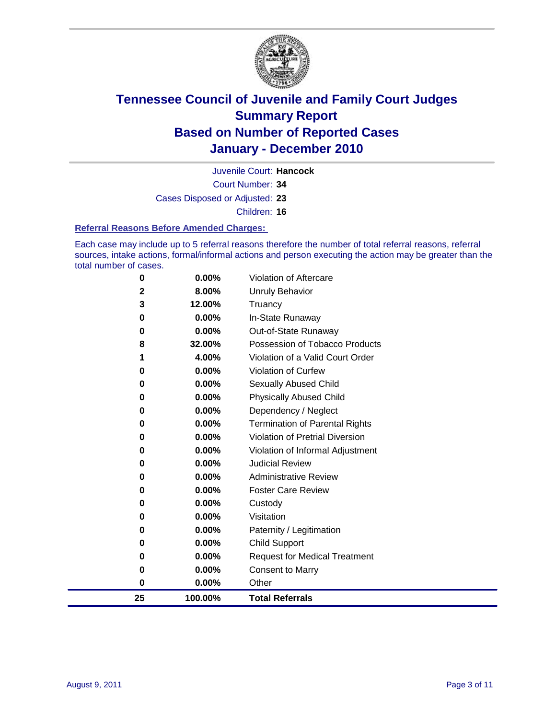

Court Number: **34** Juvenile Court: **Hancock**

Cases Disposed or Adjusted: **23**

Children: **16**

#### **Referral Reasons Before Amended Charges:**

Each case may include up to 5 referral reasons therefore the number of total referral reasons, referral sources, intake actions, formal/informal actions and person executing the action may be greater than the total number of cases.

| 25       | 100.00%         | <b>Total Referrals</b>                           |
|----------|-----------------|--------------------------------------------------|
| $\bf{0}$ | 0.00%           | Other                                            |
| 0        | 0.00%           | <b>Consent to Marry</b>                          |
| 0        | 0.00%           | <b>Request for Medical Treatment</b>             |
| 0        | 0.00%           | <b>Child Support</b>                             |
| 0        | 0.00%           | Paternity / Legitimation                         |
| 0        | 0.00%           | Visitation                                       |
| 0        | 0.00%           | Custody                                          |
| 0        | 0.00%           | <b>Foster Care Review</b>                        |
| 0        | 0.00%           | <b>Administrative Review</b>                     |
| 0        | 0.00%           | <b>Judicial Review</b>                           |
| 0        | 0.00%           | Violation of Informal Adjustment                 |
| 0        | 0.00%           | <b>Violation of Pretrial Diversion</b>           |
| 0        | 0.00%           | <b>Termination of Parental Rights</b>            |
| 0        | 0.00%           | Dependency / Neglect                             |
| 0        | 0.00%           | <b>Physically Abused Child</b>                   |
| 0        | 0.00%           | <b>Sexually Abused Child</b>                     |
| 0        | 0.00%           | <b>Violation of Curfew</b>                       |
|          | 4.00%           | Violation of a Valid Court Order                 |
| 8        | 32.00%          | Possession of Tobacco Products                   |
| 0        | 0.00%           | In-State Runaway<br>Out-of-State Runaway         |
| 3<br>0   | 12.00%<br>0.00% | Truancy                                          |
|          |                 |                                                  |
|          |                 |                                                  |
| 0<br>2   | 0.00%<br>8.00%  | <b>Violation of Aftercare</b><br>Unruly Behavior |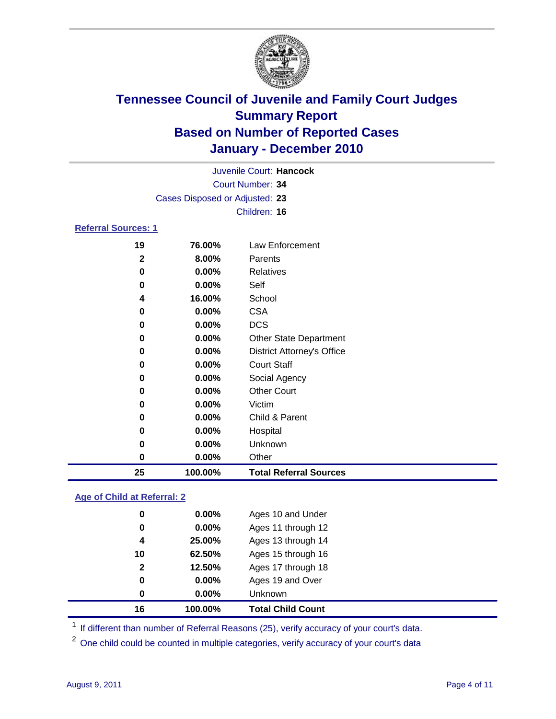

|                                |          | Juvenile Court: Hancock           |  |  |  |
|--------------------------------|----------|-----------------------------------|--|--|--|
| Court Number: 34               |          |                                   |  |  |  |
| Cases Disposed or Adjusted: 23 |          |                                   |  |  |  |
|                                |          | Children: 16                      |  |  |  |
| <b>Referral Sources: 1</b>     |          |                                   |  |  |  |
| 19                             | 76.00%   | Law Enforcement                   |  |  |  |
| $\mathbf{2}$                   | 8.00%    | Parents                           |  |  |  |
| 0                              | $0.00\%$ | <b>Relatives</b>                  |  |  |  |
| 0                              | $0.00\%$ | Self                              |  |  |  |
| 4                              | 16.00%   | School                            |  |  |  |
| 0                              | 0.00%    | <b>CSA</b>                        |  |  |  |
| 0                              | $0.00\%$ | <b>DCS</b>                        |  |  |  |
| 0                              | 0.00%    | <b>Other State Department</b>     |  |  |  |
| 0                              | $0.00\%$ | <b>District Attorney's Office</b> |  |  |  |
| 0                              | $0.00\%$ | <b>Court Staff</b>                |  |  |  |
| 0                              | 0.00%    | Social Agency                     |  |  |  |
| 0                              | $0.00\%$ | <b>Other Court</b>                |  |  |  |
| 0                              | 0.00%    | Victim                            |  |  |  |
| 0                              | 0.00%    | Child & Parent                    |  |  |  |
| 0                              | 0.00%    | Hospital                          |  |  |  |
| 0                              | 0.00%    | Unknown                           |  |  |  |
| 0                              | 0.00%    | Other                             |  |  |  |

#### **Age of Child at Referral: 2**

| 0<br>0       | 0.00%<br>0.00% | Ages 19 and Over<br><b>Unknown</b> |  |
|--------------|----------------|------------------------------------|--|
|              |                |                                    |  |
|              |                |                                    |  |
| $\mathbf{2}$ | 12.50%         | Ages 17 through 18                 |  |
| 10           | 62.50%         | Ages 15 through 16                 |  |
| 4            | 25.00%         | Ages 13 through 14                 |  |
| $\bf{0}$     | 0.00%          | Ages 11 through 12                 |  |
| 0            | $0.00\%$       | Ages 10 and Under                  |  |
|              |                |                                    |  |

<sup>1</sup> If different than number of Referral Reasons (25), verify accuracy of your court's data.

**100.00% Total Referral Sources**

<sup>2</sup> One child could be counted in multiple categories, verify accuracy of your court's data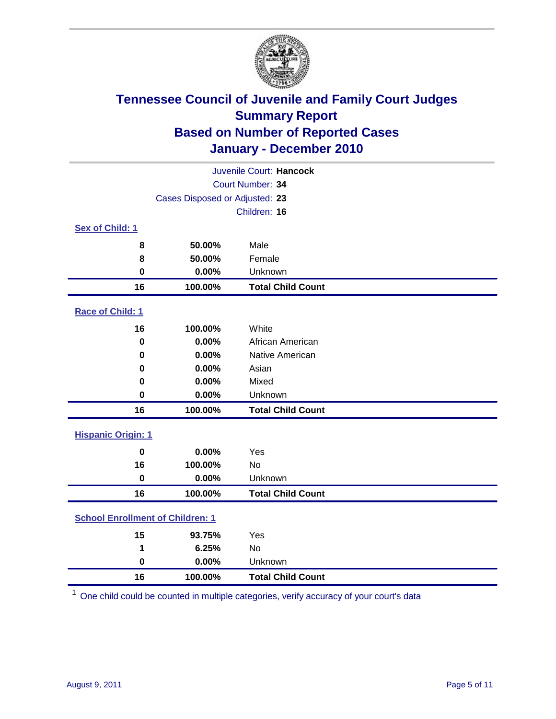

| Juvenile Court: Hancock                 |                                |                          |  |  |  |
|-----------------------------------------|--------------------------------|--------------------------|--|--|--|
| Court Number: 34                        |                                |                          |  |  |  |
|                                         | Cases Disposed or Adjusted: 23 |                          |  |  |  |
|                                         |                                | Children: 16             |  |  |  |
| Sex of Child: 1                         |                                |                          |  |  |  |
| 8                                       | 50.00%                         | Male                     |  |  |  |
| 8                                       | 50.00%                         | Female                   |  |  |  |
| $\bf{0}$                                | 0.00%                          | Unknown                  |  |  |  |
| 16                                      | 100.00%                        | <b>Total Child Count</b> |  |  |  |
| Race of Child: 1                        |                                |                          |  |  |  |
| 16                                      | 100.00%                        | White                    |  |  |  |
| $\mathbf 0$                             | 0.00%                          | African American         |  |  |  |
| 0                                       | 0.00%                          | Native American          |  |  |  |
| 0                                       | 0.00%                          | Asian                    |  |  |  |
| 0                                       | 0.00%                          | Mixed                    |  |  |  |
| $\mathbf 0$                             | 0.00%                          | Unknown                  |  |  |  |
| 16                                      | 100.00%                        | <b>Total Child Count</b> |  |  |  |
| <b>Hispanic Origin: 1</b>               |                                |                          |  |  |  |
| $\mathbf 0$                             | 0.00%                          | Yes                      |  |  |  |
| 16                                      | 100.00%                        | <b>No</b>                |  |  |  |
| $\mathbf 0$                             | 0.00%                          | Unknown                  |  |  |  |
| 16                                      | 100.00%                        | <b>Total Child Count</b> |  |  |  |
| <b>School Enrollment of Children: 1</b> |                                |                          |  |  |  |
| 15                                      | 93.75%                         | Yes                      |  |  |  |
| 1                                       | 6.25%                          | No                       |  |  |  |
| $\mathbf 0$                             | 0.00%                          | Unknown                  |  |  |  |
| 16                                      | 100.00%                        | <b>Total Child Count</b> |  |  |  |

One child could be counted in multiple categories, verify accuracy of your court's data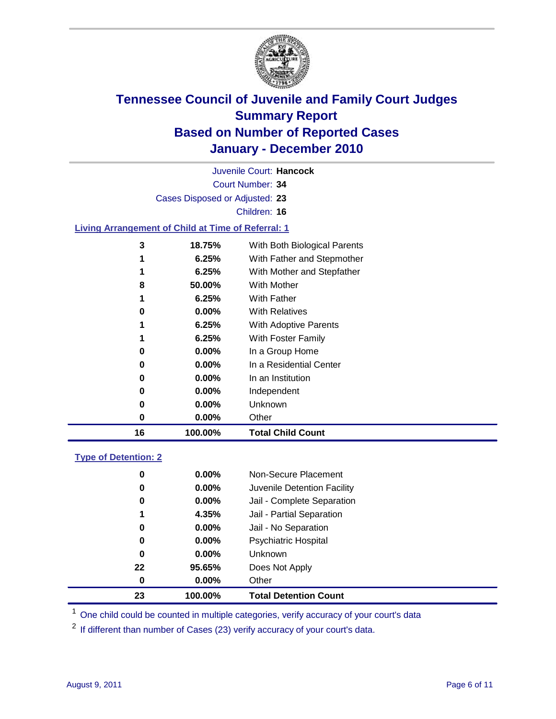

Court Number: **34** Juvenile Court: **Hancock** Cases Disposed or Adjusted: **23** Children: **16 Living Arrangement of Child at Time of Referral: 1 18.75%** With Both Biological Parents **6.25%** With Father and Stepmother **6.25%** With Mother and Stepfather **50.00%** With Mother **6.25%** With Father **0.00%** With Relatives

| 16 | 100.00%  | <b>Total Child Count</b> |
|----|----------|--------------------------|
| 0  | $0.00\%$ | Other                    |
| 0  | $0.00\%$ | Unknown                  |
| 0  | $0.00\%$ | Independent              |
| 0  | $0.00\%$ | In an Institution        |
| 0  | $0.00\%$ | In a Residential Center  |
| 0  | $0.00\%$ | In a Group Home          |
| 1  | 6.25%    | With Foster Family       |
| 1  | 6.25%    | With Adoptive Parents    |
| 0  | 0.00%    | <b>With Relatives</b>    |
| 1  | 6.25%    | <b>With Father</b>       |
| ັ  | vv.vv /v | ,,,,,,,,,,,,,,,          |

| <b>Type of Detention: 2</b> |  |
|-----------------------------|--|
|-----------------------------|--|

| 23 | 100.00%  | <b>Total Detention Count</b> |
|----|----------|------------------------------|
| 0  | $0.00\%$ | Other                        |
| 22 | 95.65%   | Does Not Apply               |
| 0  | 0.00%    | <b>Unknown</b>               |
| 0  | $0.00\%$ | <b>Psychiatric Hospital</b>  |
| 0  | 0.00%    | Jail - No Separation         |
| 1  | 4.35%    | Jail - Partial Separation    |
| 0  | $0.00\%$ | Jail - Complete Separation   |
| 0  | 0.00%    | Juvenile Detention Facility  |
| 0  | 0.00%    | Non-Secure Placement         |
|    |          |                              |

<sup>1</sup> One child could be counted in multiple categories, verify accuracy of your court's data

<sup>2</sup> If different than number of Cases (23) verify accuracy of your court's data.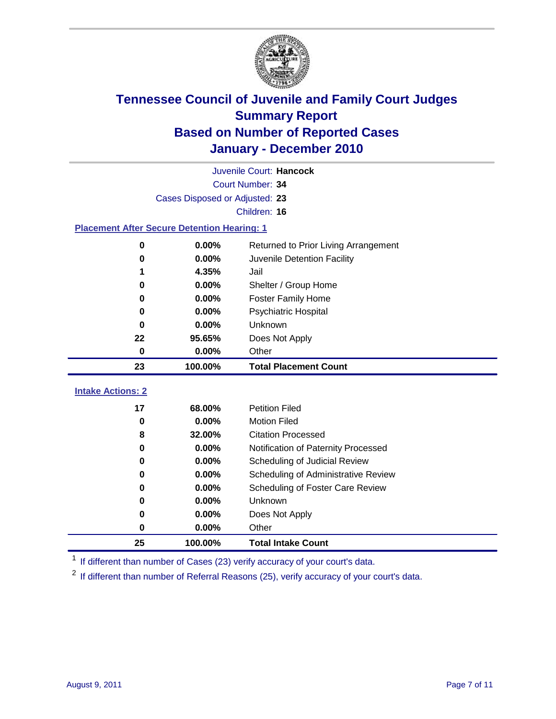

|                                                    | Juvenile Court: Hancock        |                                      |  |  |  |  |
|----------------------------------------------------|--------------------------------|--------------------------------------|--|--|--|--|
|                                                    | Court Number: 34               |                                      |  |  |  |  |
|                                                    | Cases Disposed or Adjusted: 23 |                                      |  |  |  |  |
|                                                    | Children: 16                   |                                      |  |  |  |  |
| <b>Placement After Secure Detention Hearing: 1</b> |                                |                                      |  |  |  |  |
| 0                                                  | 0.00%                          | Returned to Prior Living Arrangement |  |  |  |  |
| $\bf{0}$                                           | 0.00%                          | Juvenile Detention Facility          |  |  |  |  |
| 1                                                  | 4.35%                          | Jail                                 |  |  |  |  |
| 0                                                  | 0.00%                          | Shelter / Group Home                 |  |  |  |  |
| 0                                                  | 0.00%                          | <b>Foster Family Home</b>            |  |  |  |  |
| $\bf{0}$                                           | 0.00%                          | Psychiatric Hospital                 |  |  |  |  |
| 0                                                  | 0.00%                          | Unknown                              |  |  |  |  |
| 22                                                 | 95.65%                         | Does Not Apply                       |  |  |  |  |
| $\mathbf 0$                                        | 0.00%                          | Other                                |  |  |  |  |
|                                                    |                                |                                      |  |  |  |  |
| 23                                                 | 100.00%                        | <b>Total Placement Count</b>         |  |  |  |  |
|                                                    |                                |                                      |  |  |  |  |
| <b>Intake Actions: 2</b><br>17                     | 68.00%                         | <b>Petition Filed</b>                |  |  |  |  |
| $\mathbf 0$                                        | 0.00%                          | <b>Motion Filed</b>                  |  |  |  |  |
| 8                                                  | 32.00%                         | <b>Citation Processed</b>            |  |  |  |  |
| 0                                                  | 0.00%                          | Notification of Paternity Processed  |  |  |  |  |
| $\mathbf 0$                                        | 0.00%                          | Scheduling of Judicial Review        |  |  |  |  |
| $\bf{0}$                                           | 0.00%                          | Scheduling of Administrative Review  |  |  |  |  |
| 0                                                  | 0.00%                          | Scheduling of Foster Care Review     |  |  |  |  |
| 0                                                  | 0.00%                          | Unknown                              |  |  |  |  |
| 0                                                  | 0.00%                          | Does Not Apply                       |  |  |  |  |
| 0                                                  | 0.00%                          | Other                                |  |  |  |  |

<sup>1</sup> If different than number of Cases (23) verify accuracy of your court's data.

<sup>2</sup> If different than number of Referral Reasons (25), verify accuracy of your court's data.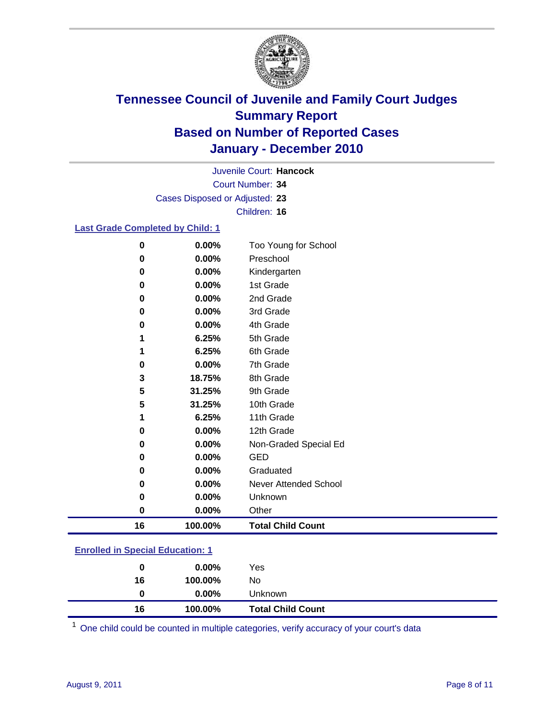

Court Number: **34** Juvenile Court: **Hancock** Cases Disposed or Adjusted: **23** Children: **16**

#### **Last Grade Completed by Child: 1**

| 0  | 0.00%   | Too Young for School     |
|----|---------|--------------------------|
| 0  | 0.00%   | Preschool                |
| 0  | 0.00%   | Kindergarten             |
| 0  | 0.00%   | 1st Grade                |
| 0  | 0.00%   | 2nd Grade                |
| 0  | 0.00%   | 3rd Grade                |
| 0  | 0.00%   | 4th Grade                |
| 1  | 6.25%   | 5th Grade                |
|    | 6.25%   | 6th Grade                |
| 0  | 0.00%   | 7th Grade                |
| 3  | 18.75%  | 8th Grade                |
| 5  | 31.25%  | 9th Grade                |
| 5  | 31.25%  | 10th Grade               |
| 1  | 6.25%   | 11th Grade               |
| 0  | 0.00%   | 12th Grade               |
| 0  | 0.00%   | Non-Graded Special Ed    |
| 0  | 0.00%   | <b>GED</b>               |
| 0  | 0.00%   | Graduated                |
| 0  | 0.00%   | Never Attended School    |
| 0  | 0.00%   | Unknown                  |
| 0  | 0.00%   | Other                    |
| 16 | 100.00% | <b>Total Child Count</b> |

#### **Enrolled in Special Education: 1**

| 0  | $0.00\%$ | Yes                      |
|----|----------|--------------------------|
| 16 | 100.00%  | No                       |
|    | $0.00\%$ | <b>Unknown</b>           |
| 16 | 100.00%  | <b>Total Child Count</b> |

One child could be counted in multiple categories, verify accuracy of your court's data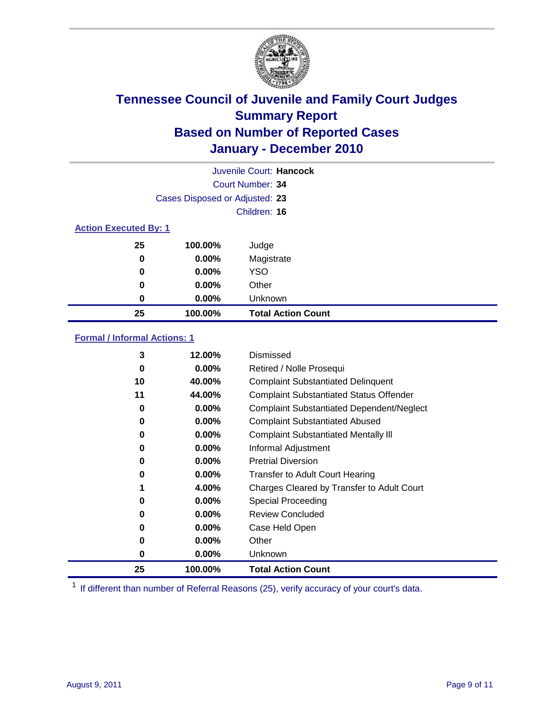

|                              |                                | Juvenile Court: Hancock   |
|------------------------------|--------------------------------|---------------------------|
|                              |                                | Court Number: 34          |
|                              | Cases Disposed or Adjusted: 23 |                           |
|                              |                                | Children: 16              |
| <b>Action Executed By: 1</b> |                                |                           |
| 25                           | 100.00%                        | Judge                     |
| 0                            | $0.00\%$                       | Magistrate                |
| 0                            | $0.00\%$                       | <b>YSO</b>                |
| 0                            | $0.00\%$                       | Other                     |
| $\boldsymbol{0}$             | 0.00%                          | Unknown                   |
| 25                           | 100.00%                        | <b>Total Action Count</b> |

#### **Formal / Informal Actions: 1**

| 3  | 12.00%   | Dismissed                                        |
|----|----------|--------------------------------------------------|
| 0  | $0.00\%$ | Retired / Nolle Prosequi                         |
| 10 | 40.00%   | <b>Complaint Substantiated Delinquent</b>        |
| 11 | 44.00%   | <b>Complaint Substantiated Status Offender</b>   |
| 0  | $0.00\%$ | <b>Complaint Substantiated Dependent/Neglect</b> |
| 0  | $0.00\%$ | <b>Complaint Substantiated Abused</b>            |
| 0  | $0.00\%$ | <b>Complaint Substantiated Mentally III</b>      |
| 0  | $0.00\%$ | Informal Adjustment                              |
| 0  | $0.00\%$ | <b>Pretrial Diversion</b>                        |
| 0  | $0.00\%$ | <b>Transfer to Adult Court Hearing</b>           |
|    | 4.00%    | Charges Cleared by Transfer to Adult Court       |
| 0  | $0.00\%$ | Special Proceeding                               |
| 0  | $0.00\%$ | <b>Review Concluded</b>                          |
| 0  | $0.00\%$ | Case Held Open                                   |
| 0  | $0.00\%$ | Other                                            |
| 0  | $0.00\%$ | Unknown                                          |
| 25 | 100.00%  | Total Action Count                               |

<sup>1</sup> If different than number of Referral Reasons (25), verify accuracy of your court's data.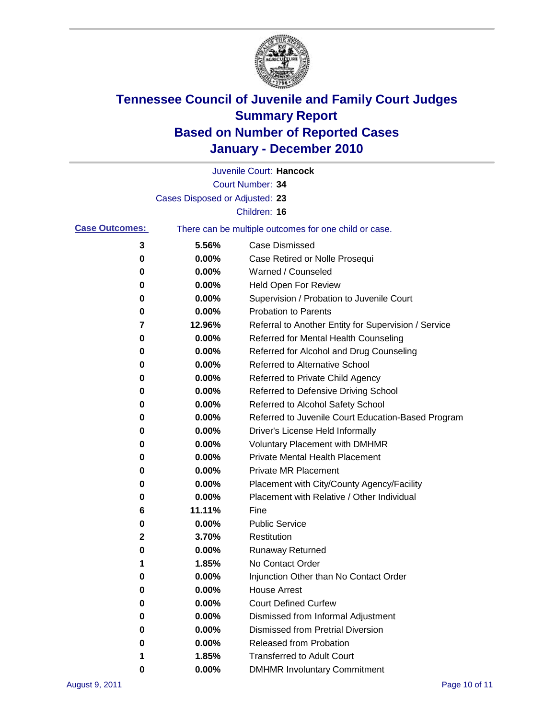

|                       |                                | Juvenile Court: Hancock                               |
|-----------------------|--------------------------------|-------------------------------------------------------|
|                       |                                | Court Number: 34                                      |
|                       | Cases Disposed or Adjusted: 23 |                                                       |
|                       |                                | Children: 16                                          |
| <b>Case Outcomes:</b> |                                | There can be multiple outcomes for one child or case. |
| 3                     | 5.56%                          | <b>Case Dismissed</b>                                 |
| 0                     | 0.00%                          | Case Retired or Nolle Prosequi                        |
| 0                     | 0.00%                          | Warned / Counseled                                    |
| 0                     | 0.00%                          | Held Open For Review                                  |
| 0                     | 0.00%                          | Supervision / Probation to Juvenile Court             |
| 0                     | 0.00%                          | <b>Probation to Parents</b>                           |
| 7                     | 12.96%                         | Referral to Another Entity for Supervision / Service  |
| 0                     | 0.00%                          | Referred for Mental Health Counseling                 |
| 0                     | 0.00%                          | Referred for Alcohol and Drug Counseling              |
| 0                     | 0.00%                          | Referred to Alternative School                        |
| 0                     | 0.00%                          | Referred to Private Child Agency                      |
| 0                     | 0.00%                          | Referred to Defensive Driving School                  |
| 0                     | 0.00%                          | Referred to Alcohol Safety School                     |
| 0                     | 0.00%                          | Referred to Juvenile Court Education-Based Program    |
| 0                     | 0.00%                          | Driver's License Held Informally                      |
| 0                     | 0.00%                          | <b>Voluntary Placement with DMHMR</b>                 |
| 0                     | 0.00%                          | Private Mental Health Placement                       |
| 0                     | 0.00%                          | <b>Private MR Placement</b>                           |
| 0                     | 0.00%                          | Placement with City/County Agency/Facility            |
| 0                     | 0.00%                          | Placement with Relative / Other Individual            |
| 6                     | 11.11%                         | Fine                                                  |
| 0                     | 0.00%                          | <b>Public Service</b>                                 |
| 2                     | 3.70%                          | Restitution                                           |
| 0                     | 0.00%                          | <b>Runaway Returned</b>                               |
| 1                     | 1.85%                          | No Contact Order                                      |
| 0                     | 0.00%                          | Injunction Other than No Contact Order                |
| 0                     | 0.00%                          | <b>House Arrest</b>                                   |
| 0                     | 0.00%                          | <b>Court Defined Curfew</b>                           |
| 0                     | 0.00%                          | Dismissed from Informal Adjustment                    |
| 0                     | 0.00%                          | <b>Dismissed from Pretrial Diversion</b>              |
| 0                     | 0.00%                          | Released from Probation                               |
|                       | 1.85%                          | <b>Transferred to Adult Court</b>                     |
| 0                     | $0.00\%$                       | <b>DMHMR Involuntary Commitment</b>                   |